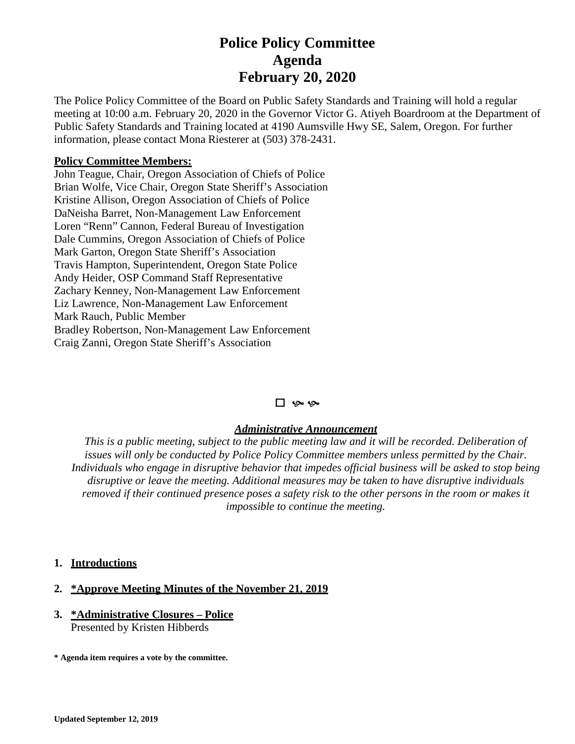# **Police Policy Committee Agenda February 20, 2020**

The Police Policy Committee of the Board on Public Safety Standards and Training will hold a regular meeting at 10:00 a.m. February 20, 2020 in the Governor Victor G. Atiyeh Boardroom at the Department of Public Safety Standards and Training located at 4190 Aumsville Hwy SE, Salem, Oregon. For further information, please contact Mona Riesterer at (503) 378-2431.

### **Policy Committee Members:**

John Teague, Chair, Oregon Association of Chiefs of Police Brian Wolfe, Vice Chair, Oregon State Sheriff's Association Kristine Allison, Oregon Association of Chiefs of Police DaNeisha Barret, Non-Management Law Enforcement Loren "Renn" Cannon, Federal Bureau of Investigation Dale Cummins, Oregon Association of Chiefs of Police Mark Garton, Oregon State Sheriff's Association Travis Hampton, Superintendent, Oregon State Police Andy Heider, OSP Command Staff Representative Zachary Kenney, Non-Management Law Enforcement Liz Lawrence, Non-Management Law Enforcement Mark Rauch, Public Member Bradley Robertson, Non-Management Law Enforcement Craig Zanni, Oregon State Sheriff's Association

#### 口 ''

#### *Administrative Announcement*

*This is a public meeting, subject to the public meeting law and it will be recorded. Deliberation of issues will only be conducted by Police Policy Committee members unless permitted by the Chair. Individuals who engage in disruptive behavior that impedes official business will be asked to stop being disruptive or leave the meeting. Additional measures may be taken to have disruptive individuals removed if their continued presence poses a safety risk to the other persons in the room or makes it impossible to continue the meeting.*

#### **1. Introductions**

#### **2. \*Approve Meeting Minutes of the November 21, 2019**

#### **3. \*Administrative Closures – Police** Presented by Kristen Hibberds

**\* Agenda item requires a vote by the committee.**